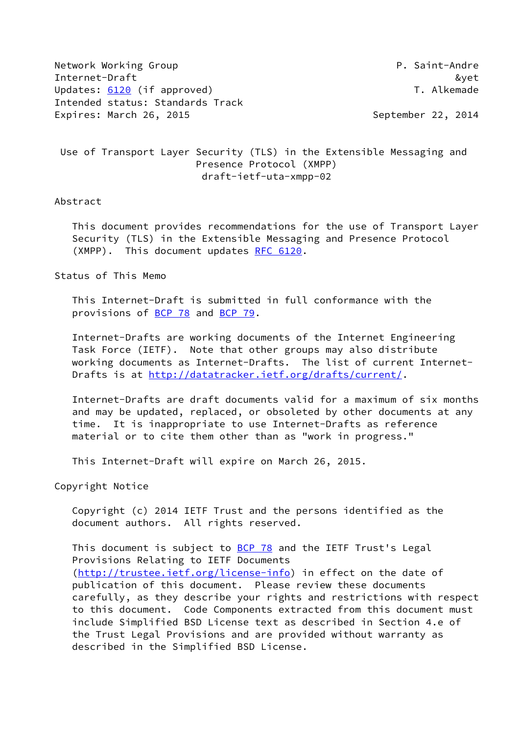| Network Working Group            | P. Saint-Andre     |
|----------------------------------|--------------------|
| Internet-Draft                   | &vet               |
| Updates: 6120 (if approved)      | T. Alkemade        |
| Intended status: Standards Track |                    |
| Expires: March 26, 2015          | September 22, 2014 |

 Use of Transport Layer Security (TLS) in the Extensible Messaging and Presence Protocol (XMPP) draft-ietf-uta-xmpp-02

### Abstract

 This document provides recommendations for the use of Transport Layer Security (TLS) in the Extensible Messaging and Presence Protocol (XMPP). This document updates [RFC 6120.](https://datatracker.ietf.org/doc/pdf/rfc6120)

### Status of This Memo

 This Internet-Draft is submitted in full conformance with the provisions of [BCP 78](https://datatracker.ietf.org/doc/pdf/bcp78) and [BCP 79](https://datatracker.ietf.org/doc/pdf/bcp79).

 Internet-Drafts are working documents of the Internet Engineering Task Force (IETF). Note that other groups may also distribute working documents as Internet-Drafts. The list of current Internet- Drafts is at<http://datatracker.ietf.org/drafts/current/>.

 Internet-Drafts are draft documents valid for a maximum of six months and may be updated, replaced, or obsoleted by other documents at any time. It is inappropriate to use Internet-Drafts as reference material or to cite them other than as "work in progress."

This Internet-Draft will expire on March 26, 2015.

Copyright Notice

 Copyright (c) 2014 IETF Trust and the persons identified as the document authors. All rights reserved.

This document is subject to **[BCP 78](https://datatracker.ietf.org/doc/pdf/bcp78)** and the IETF Trust's Legal Provisions Relating to IETF Documents [\(http://trustee.ietf.org/license-info](http://trustee.ietf.org/license-info)) in effect on the date of publication of this document. Please review these documents carefully, as they describe your rights and restrictions with respect to this document. Code Components extracted from this document must include Simplified BSD License text as described in Section 4.e of the Trust Legal Provisions and are provided without warranty as described in the Simplified BSD License.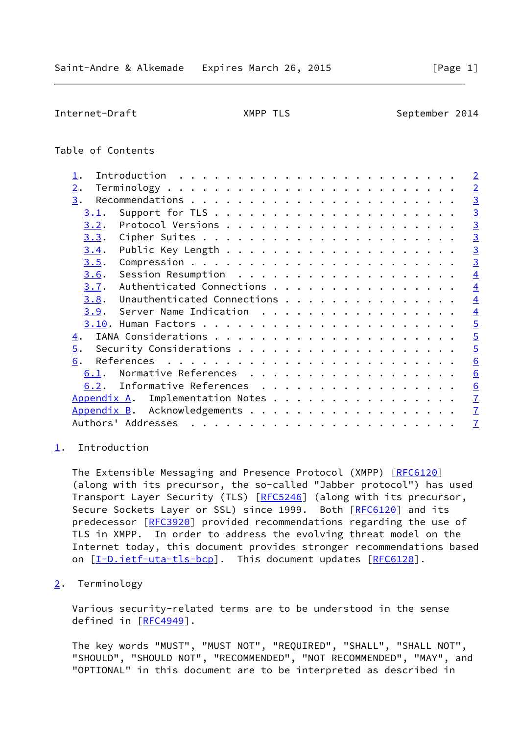<span id="page-1-1"></span>Internet-Draft XMPP TLS September 2014

# Table of Contents

| $\mathtt{\underline{1}}$ . |                             |                      |  |  |  |  |  |  |  |  |  |  | $\overline{2}$  |
|----------------------------|-----------------------------|----------------------|--|--|--|--|--|--|--|--|--|--|-----------------|
| $\overline{2}$ .           |                             |                      |  |  |  |  |  |  |  |  |  |  | $\overline{2}$  |
| 3.                         |                             |                      |  |  |  |  |  |  |  |  |  |  | $\overline{3}$  |
| 3.1.                       |                             |                      |  |  |  |  |  |  |  |  |  |  | $\overline{3}$  |
| 3.2.                       |                             |                      |  |  |  |  |  |  |  |  |  |  | $\overline{3}$  |
| 3.3.                       |                             |                      |  |  |  |  |  |  |  |  |  |  | $\overline{3}$  |
| 3.4.                       |                             |                      |  |  |  |  |  |  |  |  |  |  | $\overline{3}$  |
| 3.5.                       |                             |                      |  |  |  |  |  |  |  |  |  |  | $\overline{3}$  |
| 3.6.                       |                             |                      |  |  |  |  |  |  |  |  |  |  | $\overline{4}$  |
| 3.7.                       | Authenticated Connections   |                      |  |  |  |  |  |  |  |  |  |  | $\overline{4}$  |
| 3.8.                       | Unauthenticated Connections |                      |  |  |  |  |  |  |  |  |  |  | $\overline{4}$  |
| 3.9.                       | Server Name Indication      |                      |  |  |  |  |  |  |  |  |  |  | $\overline{4}$  |
|                            |                             |                      |  |  |  |  |  |  |  |  |  |  | $\overline{5}$  |
| <u>4</u> .                 |                             |                      |  |  |  |  |  |  |  |  |  |  | $\overline{5}$  |
| $\overline{5}$ .           |                             |                      |  |  |  |  |  |  |  |  |  |  | $\overline{5}$  |
| 6.                         |                             |                      |  |  |  |  |  |  |  |  |  |  | 6               |
| 6.1.                       | Normative References        |                      |  |  |  |  |  |  |  |  |  |  | 6               |
| 6.2.                       | Informative References      |                      |  |  |  |  |  |  |  |  |  |  | $\underline{6}$ |
| Appendix A.                |                             | Implementation Notes |  |  |  |  |  |  |  |  |  |  | $\overline{1}$  |
| Appendix B.                |                             |                      |  |  |  |  |  |  |  |  |  |  | $\mathbf{I}$    |
|                            |                             |                      |  |  |  |  |  |  |  |  |  |  | $\overline{1}$  |
|                            |                             |                      |  |  |  |  |  |  |  |  |  |  |                 |

## <span id="page-1-0"></span>[1](#page-1-0). Introduction

The Extensible Messaging and Presence Protocol (XMPP) [[RFC6120](https://datatracker.ietf.org/doc/pdf/rfc6120)] (along with its precursor, the so-called "Jabber protocol") has used Transport Layer Security (TLS) [\[RFC5246](https://datatracker.ietf.org/doc/pdf/rfc5246)] (along with its precursor, Secure Sockets Layer or SSL) since 1999. Both [\[RFC6120](https://datatracker.ietf.org/doc/pdf/rfc6120)] and its predecessor [\[RFC3920](https://datatracker.ietf.org/doc/pdf/rfc3920)] provided recommendations regarding the use of TLS in XMPP. In order to address the evolving threat model on the Internet today, this document provides stronger recommendations based on [[I-D.ietf-uta-tls-bcp\]](#page-5-4). This document updates [[RFC6120](https://datatracker.ietf.org/doc/pdf/rfc6120)].

<span id="page-1-2"></span>[2](#page-1-2). Terminology

 Various security-related terms are to be understood in the sense defined in [[RFC4949\]](https://datatracker.ietf.org/doc/pdf/rfc4949).

 The key words "MUST", "MUST NOT", "REQUIRED", "SHALL", "SHALL NOT", "SHOULD", "SHOULD NOT", "RECOMMENDED", "NOT RECOMMENDED", "MAY", and "OPTIONAL" in this document are to be interpreted as described in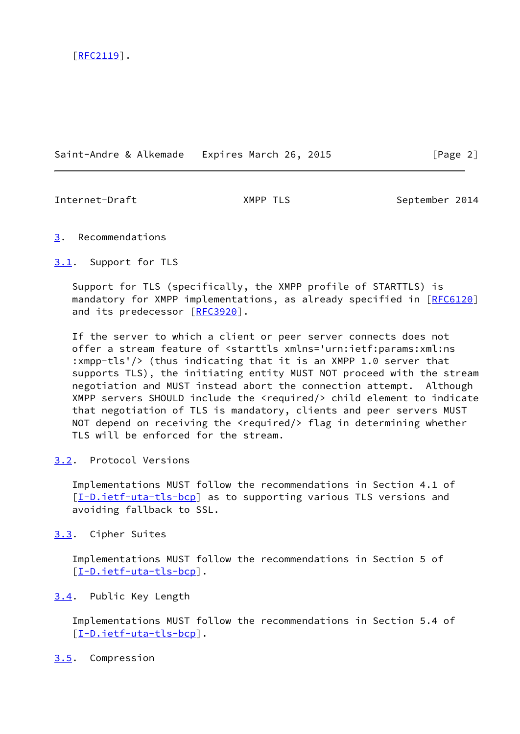Saint-Andre & Alkemade Expires March 26, 2015 [Page 2]

<span id="page-2-1"></span>

Internet-Draft **XMPP TLS** September 2014

## <span id="page-2-0"></span>[3](#page-2-0). Recommendations

<span id="page-2-2"></span>[3.1](#page-2-2). Support for TLS

 Support for TLS (specifically, the XMPP profile of STARTTLS) is mandatory for XMPP implementations, as already specified in [\[RFC6120](https://datatracker.ietf.org/doc/pdf/rfc6120)] and its predecessor [\[RFC3920](https://datatracker.ietf.org/doc/pdf/rfc3920)].

 If the server to which a client or peer server connects does not offer a stream feature of <starttls xmlns='urn:ietf:params:xml:ns :xmpp-tls'/> (thus indicating that it is an XMPP 1.0 server that supports TLS), the initiating entity MUST NOT proceed with the stream negotiation and MUST instead abort the connection attempt. Although XMPP servers SHOULD include the <required/> child element to indicate that negotiation of TLS is mandatory, clients and peer servers MUST NOT depend on receiving the <required/> flag in determining whether TLS will be enforced for the stream.

<span id="page-2-3"></span>[3.2](#page-2-3). Protocol Versions

 Implementations MUST follow the recommendations in Section 4.1 of [\[I-D.ietf-uta-tls-bcp](#page-5-4)] as to supporting various TLS versions and avoiding fallback to SSL.

<span id="page-2-4"></span>[3.3](#page-2-4). Cipher Suites

 Implementations MUST follow the recommendations in Section 5 of [\[I-D.ietf-uta-tls-bcp](#page-5-4)].

# <span id="page-2-5"></span>[3.4](#page-2-5). Public Key Length

 Implementations MUST follow the recommendations in Section 5.4 of [\[I-D.ietf-uta-tls-bcp](#page-5-4)].

## <span id="page-2-6"></span>[3.5](#page-2-6). Compression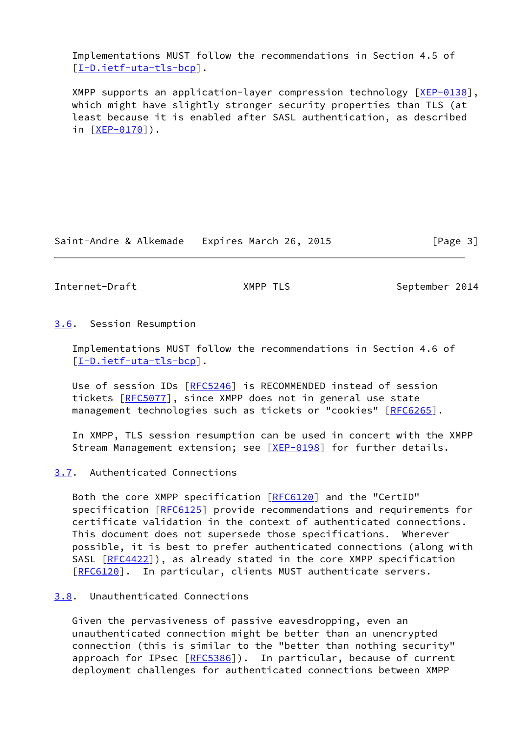Implementations MUST follow the recommendations in Section 4.5 of [\[I-D.ietf-uta-tls-bcp](#page-5-4)].

 XMPP supports an application-layer compression technology [[XEP-0138\]](#page-7-2), which might have slightly stronger security properties than TLS (at least because it is enabled after SASL authentication, as described in [[XEP-0170\]](#page-7-3)).

Saint-Andre & Alkemade Expires March 26, 2015 [Page 3]

<span id="page-3-1"></span>Internet-Draft XMPP TLS September 2014

<span id="page-3-0"></span>[3.6](#page-3-0). Session Resumption

 Implementations MUST follow the recommendations in Section 4.6 of [\[I-D.ietf-uta-tls-bcp](#page-5-4)].

Use of session IDs [[RFC5246\]](https://datatracker.ietf.org/doc/pdf/rfc5246) is RECOMMENDED instead of session tickets [\[RFC5077](https://datatracker.ietf.org/doc/pdf/rfc5077)], since XMPP does not in general use state management technologies such as tickets or "cookies" [\[RFC6265](https://datatracker.ietf.org/doc/pdf/rfc6265)].

 In XMPP, TLS session resumption can be used in concert with the XMPP Stream Management extension; see [\[XEP-0198](#page-7-4)] for further details.

<span id="page-3-2"></span>[3.7](#page-3-2). Authenticated Connections

Both the core XMPP specification [\[RFC6120](https://datatracker.ietf.org/doc/pdf/rfc6120)] and the "CertID" specification [[RFC6125](https://datatracker.ietf.org/doc/pdf/rfc6125)] provide recommendations and requirements for certificate validation in the context of authenticated connections. This document does not supersede those specifications. Wherever possible, it is best to prefer authenticated connections (along with SASL [\[RFC4422](https://datatracker.ietf.org/doc/pdf/rfc4422)]), as already stated in the core XMPP specification [\[RFC6120](https://datatracker.ietf.org/doc/pdf/rfc6120)]. In particular, clients MUST authenticate servers.

# <span id="page-3-3"></span>[3.8](#page-3-3). Unauthenticated Connections

 Given the pervasiveness of passive eavesdropping, even an unauthenticated connection might be better than an unencrypted connection (this is similar to the "better than nothing security" approach for IPsec [[RFC5386\]](https://datatracker.ietf.org/doc/pdf/rfc5386)). In particular, because of current deployment challenges for authenticated connections between XMPP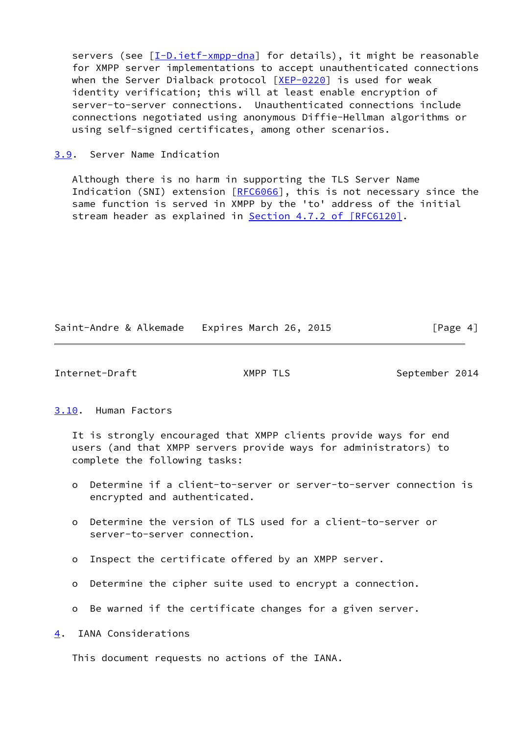servers (see [\[I-D.ietf-xmpp-dna\]](#page-6-2) for details), it might be reasonable for XMPP server implementations to accept unauthenticated connections when the Server Dialback protocol  $[XEP-0220]$  $[XEP-0220]$  is used for weak identity verification; this will at least enable encryption of server-to-server connections. Unauthenticated connections include connections negotiated using anonymous Diffie-Hellman algorithms or using self-signed certificates, among other scenarios.

<span id="page-4-0"></span>[3.9](#page-4-0). Server Name Indication

 Although there is no harm in supporting the TLS Server Name Indication (SNI) extension [[RFC6066\]](https://datatracker.ietf.org/doc/pdf/rfc6066), this is not necessary since the same function is served in XMPP by the 'to' address of the initial stream header as explained in **Section 4.7.2 of [RFC6120]**.

Saint-Andre & Alkemade Expires March 26, 2015 [Page 4]

<span id="page-4-2"></span>Internet-Draft MPP TLS September 2014

## <span id="page-4-1"></span>[3.10](#page-4-1). Human Factors

 It is strongly encouraged that XMPP clients provide ways for end users (and that XMPP servers provide ways for administrators) to complete the following tasks:

- o Determine if a client-to-server or server-to-server connection is encrypted and authenticated.
- o Determine the version of TLS used for a client-to-server or server-to-server connection.
- o Inspect the certificate offered by an XMPP server.
- o Determine the cipher suite used to encrypt a connection.
- o Be warned if the certificate changes for a given server.

<span id="page-4-3"></span>[4](#page-4-3). IANA Considerations

This document requests no actions of the IANA.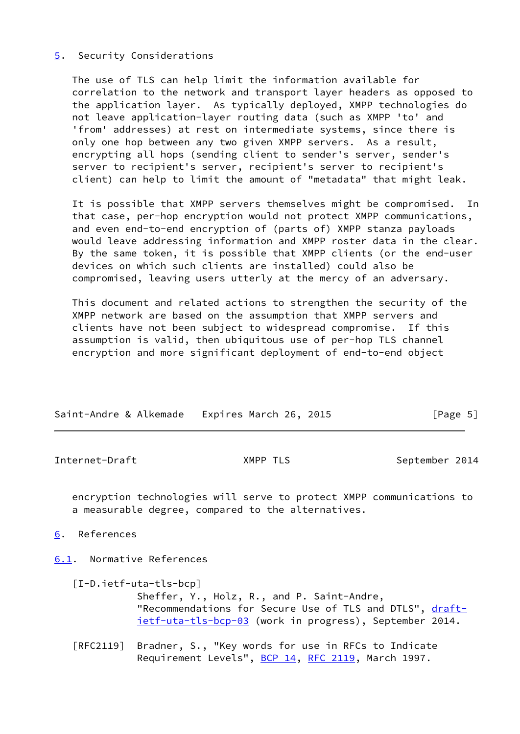## <span id="page-5-0"></span>[5](#page-5-0). Security Considerations

 The use of TLS can help limit the information available for correlation to the network and transport layer headers as opposed to the application layer. As typically deployed, XMPP technologies do not leave application-layer routing data (such as XMPP 'to' and 'from' addresses) at rest on intermediate systems, since there is only one hop between any two given XMPP servers. As a result, encrypting all hops (sending client to sender's server, sender's server to recipient's server, recipient's server to recipient's client) can help to limit the amount of "metadata" that might leak.

 It is possible that XMPP servers themselves might be compromised. In that case, per-hop encryption would not protect XMPP communications, and even end-to-end encryption of (parts of) XMPP stanza payloads would leave addressing information and XMPP roster data in the clear. By the same token, it is possible that XMPP clients (or the end-user devices on which such clients are installed) could also be compromised, leaving users utterly at the mercy of an adversary.

 This document and related actions to strengthen the security of the XMPP network are based on the assumption that XMPP servers and clients have not been subject to widespread compromise. If this assumption is valid, then ubiquitous use of per-hop TLS channel encryption and more significant deployment of end-to-end object

| Saint-Andre & Alkemade Expires March 26, 2015 | [Page 5] |
|-----------------------------------------------|----------|

<span id="page-5-2"></span>Internet-Draft **XMPP TLS** September 2014

 encryption technologies will serve to protect XMPP communications to a measurable degree, compared to the alternatives.

<span id="page-5-1"></span>[6](#page-5-1). References

<span id="page-5-3"></span>[6.1](#page-5-3). Normative References

- <span id="page-5-4"></span> [I-D.ietf-uta-tls-bcp] Sheffer, Y., Holz, R., and P. Saint-Andre, "Recommendations for Secure Use of TLS and DTLS", [draft](https://datatracker.ietf.org/doc/pdf/draft-ietf-uta-tls-bcp-03) [ietf-uta-tls-bcp-03](https://datatracker.ietf.org/doc/pdf/draft-ietf-uta-tls-bcp-03) (work in progress), September 2014.
- [RFC2119] Bradner, S., "Key words for use in RFCs to Indicate Requirement Levels", [BCP 14](https://datatracker.ietf.org/doc/pdf/bcp14), [RFC 2119](https://datatracker.ietf.org/doc/pdf/rfc2119), March 1997.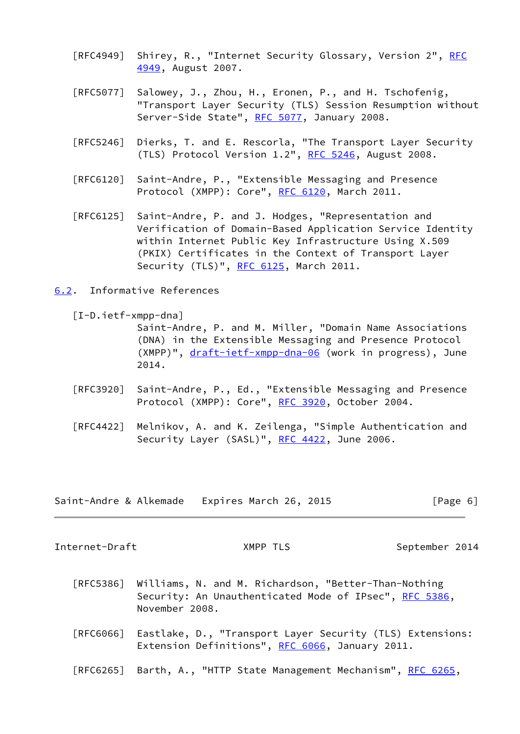- [RFC4949] Shirey, R., "Internet Security Glossary, Version 2", [RFC](https://datatracker.ietf.org/doc/pdf/rfc4949) [4949,](https://datatracker.ietf.org/doc/pdf/rfc4949) August 2007.
- [RFC5077] Salowey, J., Zhou, H., Eronen, P., and H. Tschofenig, "Transport Layer Security (TLS) Session Resumption without Server-Side State", [RFC 5077,](https://datatracker.ietf.org/doc/pdf/rfc5077) January 2008.
- [RFC5246] Dierks, T. and E. Rescorla, "The Transport Layer Security (TLS) Protocol Version 1.2", [RFC 5246](https://datatracker.ietf.org/doc/pdf/rfc5246), August 2008.
- [RFC6120] Saint-Andre, P., "Extensible Messaging and Presence Protocol (XMPP): Core", [RFC 6120,](https://datatracker.ietf.org/doc/pdf/rfc6120) March 2011.
- [RFC6125] Saint-Andre, P. and J. Hodges, "Representation and Verification of Domain-Based Application Service Identity within Internet Public Key Infrastructure Using X.509 (PKIX) Certificates in the Context of Transport Layer Security (TLS)", [RFC 6125,](https://datatracker.ietf.org/doc/pdf/rfc6125) March 2011.
- <span id="page-6-0"></span>[6.2](#page-6-0). Informative References

<span id="page-6-2"></span>[I-D.ietf-xmpp-dna]

 Saint-Andre, P. and M. Miller, "Domain Name Associations (DNA) in the Extensible Messaging and Presence Protocol (XMPP)", [draft-ietf-xmpp-dna-06](https://datatracker.ietf.org/doc/pdf/draft-ietf-xmpp-dna-06) (work in progress), June 2014.

- [RFC3920] Saint-Andre, P., Ed., "Extensible Messaging and Presence Protocol (XMPP): Core", [RFC 3920,](https://datatracker.ietf.org/doc/pdf/rfc3920) October 2004.
- [RFC4422] Melnikov, A. and K. Zeilenga, "Simple Authentication and Security Layer (SASL)", [RFC 4422,](https://datatracker.ietf.org/doc/pdf/rfc4422) June 2006.

|  | Saint-Andre & Alkemade Expires March 26, 2015 | [Page 6] |
|--|-----------------------------------------------|----------|
|--|-----------------------------------------------|----------|

<span id="page-6-1"></span>Internet-Draft XMPP TLS September 2014

- [RFC5386] Williams, N. and M. Richardson, "Better-Than-Nothing Security: An Unauthenticated Mode of IPsec", [RFC 5386](https://datatracker.ietf.org/doc/pdf/rfc5386), November 2008.
- [RFC6066] Eastlake, D., "Transport Layer Security (TLS) Extensions: Extension Definitions", [RFC 6066,](https://datatracker.ietf.org/doc/pdf/rfc6066) January 2011.
- [RFC6265] Barth, A., "HTTP State Management Mechanism", [RFC 6265](https://datatracker.ietf.org/doc/pdf/rfc6265),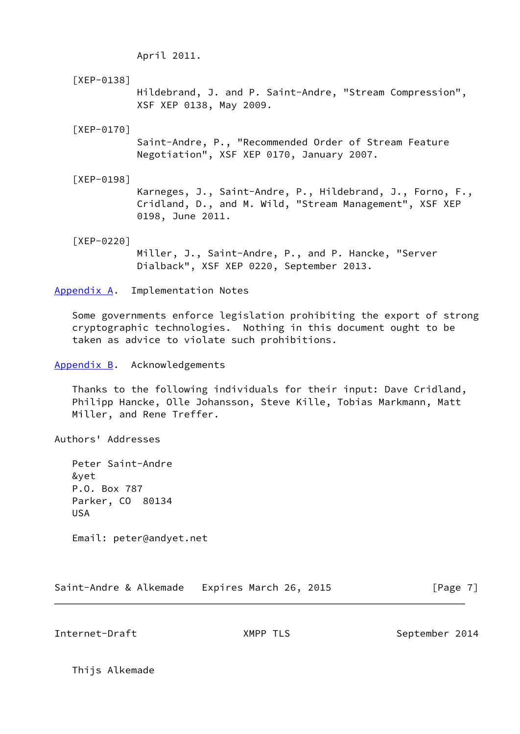April 2011.

<span id="page-7-2"></span> [XEP-0138] Hildebrand, J. and P. Saint-Andre, "Stream Compression", XSF XEP 0138, May 2009.

<span id="page-7-3"></span>[XEP-0170]

 Saint-Andre, P., "Recommended Order of Stream Feature Negotiation", XSF XEP 0170, January 2007.

<span id="page-7-4"></span>[XEP-0198]

 Karneges, J., Saint-Andre, P., Hildebrand, J., Forno, F., Cridland, D., and M. Wild, "Stream Management", XSF XEP 0198, June 2011.

<span id="page-7-5"></span>[XEP-0220]

 Miller, J., Saint-Andre, P., and P. Hancke, "Server Dialback", XSF XEP 0220, September 2013.

<span id="page-7-0"></span>[Appendix A.](#page-7-0) Implementation Notes

 Some governments enforce legislation prohibiting the export of strong cryptographic technologies. Nothing in this document ought to be taken as advice to violate such prohibitions.

<span id="page-7-1"></span>[Appendix B.](#page-7-1) Acknowledgements

 Thanks to the following individuals for their input: Dave Cridland, Philipp Hancke, Olle Johansson, Steve Kille, Tobias Markmann, Matt Miller, and Rene Treffer.

Authors' Addresses

 Peter Saint-Andre &yet P.O. Box 787 Parker, CO 80134 USA

Email: peter@andyet.net

Saint-Andre & Alkemade Expires March 26, 2015 [Page 7]

Internet-Draft **XMPP TLS** September 2014

Thijs Alkemade